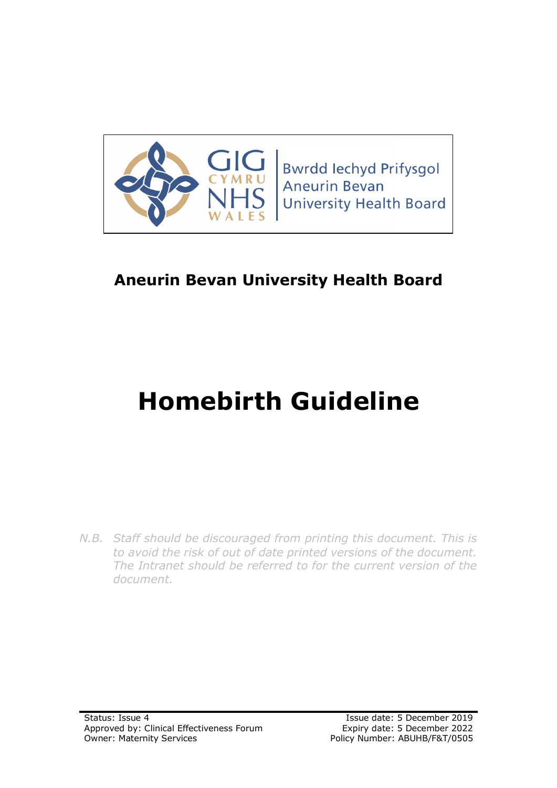

**Bwrdd lechyd Prifysgol Aneurin Bevan University Health Board** 

# **Aneurin Bevan University Health Board**

# **Homebirth Guideline**

*N.B. Staff should be discouraged from printing this document. This is to avoid the risk of out of date printed versions of the document. The Intranet should be referred to for the current version of the document.*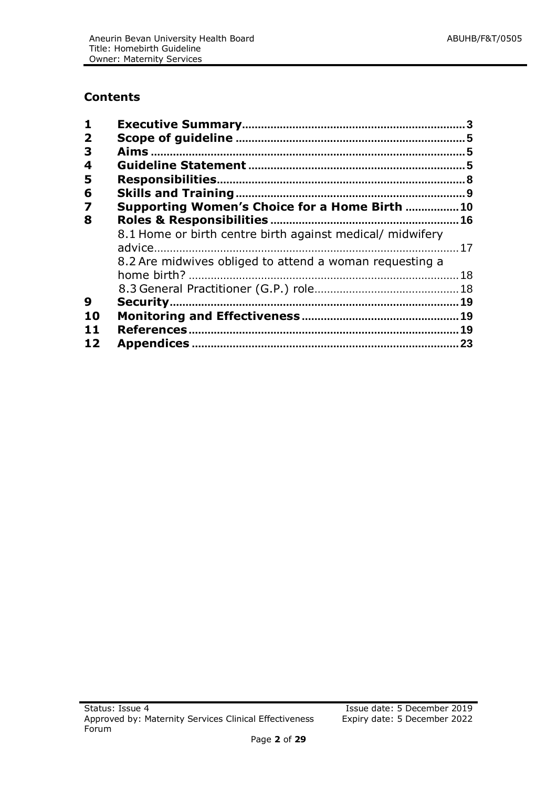# **Contents**

| $\mathbf{1}$            |                                                           |    |
|-------------------------|-----------------------------------------------------------|----|
| $\overline{\mathbf{2}}$ |                                                           |    |
| 3                       |                                                           |    |
| 4                       |                                                           |    |
| 5                       |                                                           |    |
| 6                       |                                                           |    |
| $\overline{\mathbf{z}}$ | Supporting Women's Choice for a Home Birth  10            |    |
| 8                       |                                                           |    |
|                         | 8.1 Home or birth centre birth against medical/ midwifery |    |
|                         |                                                           |    |
|                         | 8.2 Are midwives obliged to attend a woman requesting a   |    |
|                         |                                                           |    |
|                         |                                                           |    |
| 9                       |                                                           |    |
| 10                      |                                                           |    |
| 11                      |                                                           |    |
| 12                      |                                                           | 23 |
|                         |                                                           |    |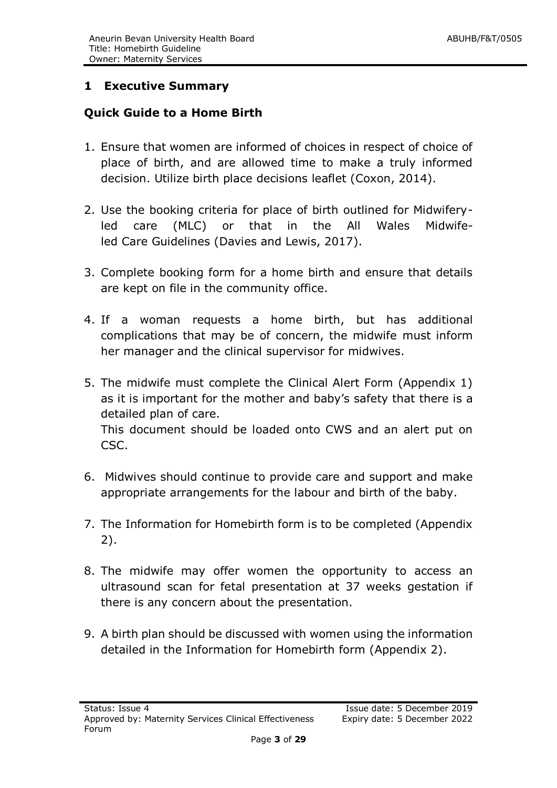# <span id="page-2-0"></span>**1 Executive Summary**

#### **Quick Guide to a Home Birth**

- 1. Ensure that women are informed of choices in respect of choice of place of birth, and are allowed time to make a truly informed decision. Utilize birth place decisions leaflet (Coxon, 2014).
- 2. Use the booking criteria for place of birth outlined for Midwiferyled care (MLC) or that in the All Wales Midwifeled Care Guidelines (Davies and Lewis, 2017).
- 3. Complete booking form for a home birth and ensure that details are kept on file in the community office.
- 4. If a woman requests a home birth, but has additional complications that may be of concern, the midwife must inform her manager and the clinical supervisor for midwives.
- 5. The midwife must complete the Clinical Alert Form (Appendix 1) as it is important for the mother and baby's safety that there is a detailed plan of care. This document should be loaded onto CWS and an alert put on CSC.
- 6. Midwives should continue to provide care and support and make appropriate arrangements for the labour and birth of the baby.
- 7. The Information for Homebirth form is to be completed (Appendix 2).
- 8. The midwife may offer women the opportunity to access an ultrasound scan for fetal presentation at 37 weeks gestation if there is any concern about the presentation.
- 9. A birth plan should be discussed with women using the information detailed in the Information for Homebirth form (Appendix 2).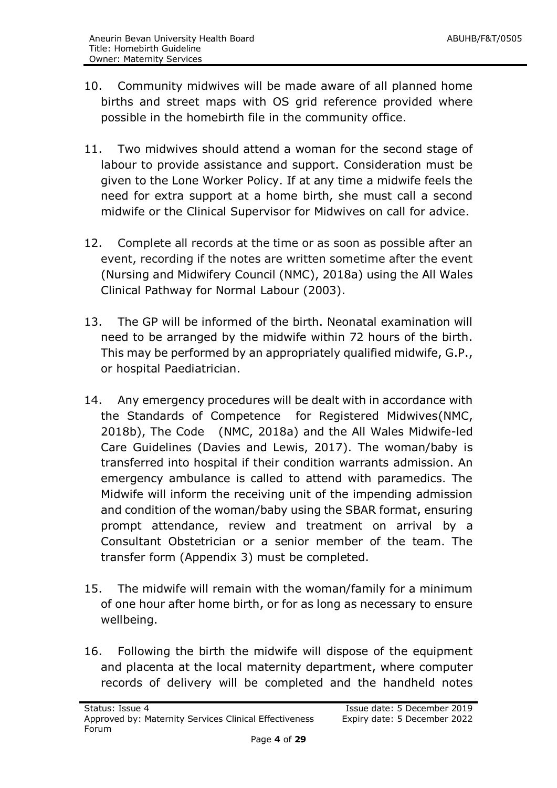- 10. Community midwives will be made aware of all planned home births and street maps with OS grid reference provided where possible in the homebirth file in the community office.
- 11. Two midwives should attend a woman for the second stage of labour to provide assistance and support. Consideration must be given to the Lone Worker Policy. If at any time a midwife feels the need for extra support at a home birth, she must call a second midwife or the Clinical Supervisor for Midwives on call for advice.
- 12. Complete all records at the time or as soon as possible after an event, recording if the notes are written sometime after the event (Nursing and Midwifery Council (NMC), 2018a) using the All Wales Clinical Pathway for Normal Labour (2003).
- 13. The GP will be informed of the birth. Neonatal examination will need to be arranged by the midwife within 72 hours of the birth. This may be performed by an appropriately qualified midwife, G.P., or hospital Paediatrician.
- 14. Any emergency procedures will be dealt with in accordance with the Standards of Competence for Registered Midwives(NMC, 2018b), The Code (NMC, 2018a) and the All Wales Midwife-led Care Guidelines (Davies and Lewis, 2017). The woman/baby is transferred into hospital if their condition warrants admission. An emergency ambulance is called to attend with paramedics. The Midwife will inform the receiving unit of the impending admission and condition of the woman/baby using the SBAR format, ensuring prompt attendance, review and treatment on arrival by a Consultant Obstetrician or a senior member of the team. The transfer form (Appendix 3) must be completed.
- 15. The midwife will remain with the woman/family for a minimum of one hour after home birth, or for as long as necessary to ensure wellbeing.
- 16. Following the birth the midwife will dispose of the equipment and placenta at the local maternity department, where computer records of delivery will be completed and the handheld notes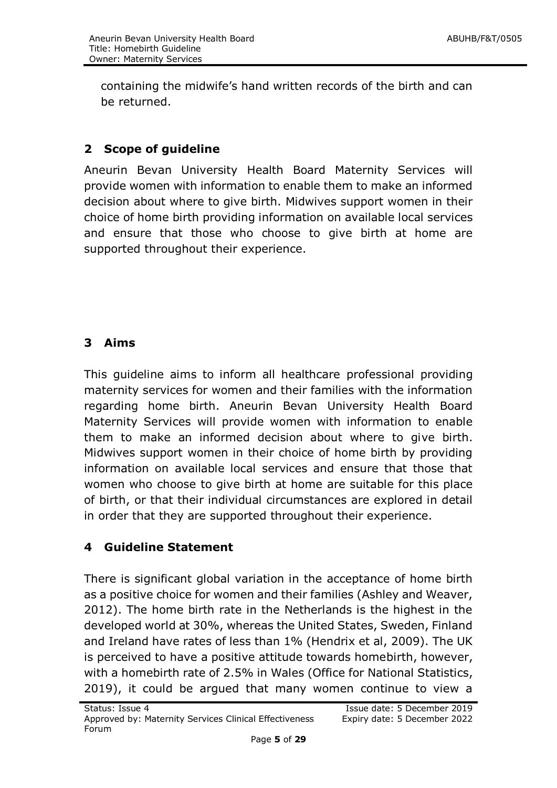containing the midwife's hand written records of the birth and can be returned.

# <span id="page-4-0"></span>**2 Scope of guideline**

Aneurin Bevan University Health Board Maternity Services will provide women with information to enable them to make an informed decision about where to give birth. Midwives support women in their choice of home birth providing information on available local services and ensure that those who choose to give birth at home are supported throughout their experience.

# <span id="page-4-1"></span>**3 Aims**

This guideline aims to inform all healthcare professional providing maternity services for women and their families with the information regarding home birth. Aneurin Bevan University Health Board Maternity Services will provide women with information to enable them to make an informed decision about where to give birth. Midwives support women in their choice of home birth by providing information on available local services and ensure that those that women who choose to give birth at home are suitable for this place of birth, or that their individual circumstances are explored in detail in order that they are supported throughout their experience.

# <span id="page-4-2"></span>**4 Guideline Statement**

There is significant global variation in the acceptance of home birth as a positive choice for women and their families (Ashley and Weaver, 2012). The home birth rate in the Netherlands is the highest in the developed world at 30%, whereas the United States, Sweden, Finland and Ireland have rates of less than 1% (Hendrix et al, 2009). The UK is perceived to have a positive attitude towards homebirth, however, with a homebirth rate of 2.5% in Wales (Office for National Statistics, 2019), it could be argued that many women continue to view a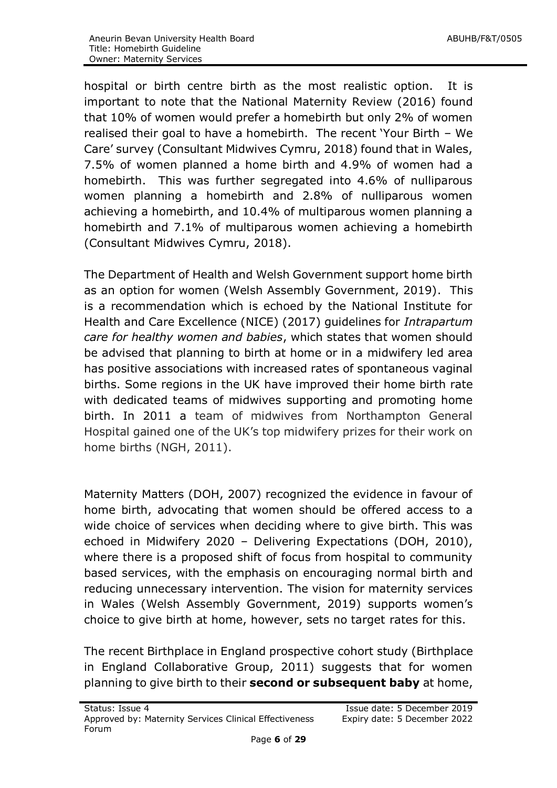hospital or birth centre birth as the most realistic option. It is important to note that the National Maternity Review (2016) found that 10% of women would prefer a homebirth but only 2% of women realised their goal to have a homebirth. The recent 'Your Birth – We Care' survey (Consultant Midwives Cymru, 2018) found that in Wales, 7.5% of women planned a home birth and 4.9% of women had a homebirth. This was further segregated into 4.6% of nulliparous women planning a homebirth and 2.8% of nulliparous women achieving a homebirth, and 10.4% of multiparous women planning a homebirth and 7.1% of multiparous women achieving a homebirth (Consultant Midwives Cymru, 2018).

The Department of Health and Welsh Government support home birth as an option for women (Welsh Assembly Government, 2019). This is a recommendation which is echoed by the National Institute for Health and Care Excellence (NICE) (2017) guidelines for *Intrapartum care for healthy women and babies*, which states that women should be advised that planning to birth at home or in a midwifery led area has positive associations with increased rates of spontaneous vaginal births. Some regions in the UK have improved their home birth rate with dedicated teams of midwives supporting and promoting home birth. In 2011 a team of midwives from Northampton General Hospital gained one of the UK's top midwifery prizes for their work on home births (NGH, 2011).

Maternity Matters (DOH, 2007) recognized the evidence in favour of home birth, advocating that women should be offered access to a wide choice of services when deciding where to give birth. This was echoed in Midwifery 2020 – Delivering Expectations (DOH, 2010), where there is a proposed shift of focus from hospital to community based services, with the emphasis on encouraging normal birth and reducing unnecessary intervention. The vision for maternity services in Wales (Welsh Assembly Government, 2019) supports women's choice to give birth at home, however, sets no target rates for this.

The recent Birthplace in England prospective cohort study (Birthplace in England Collaborative Group, 2011) suggests that for women planning to give birth to their **second or subsequent baby** at home,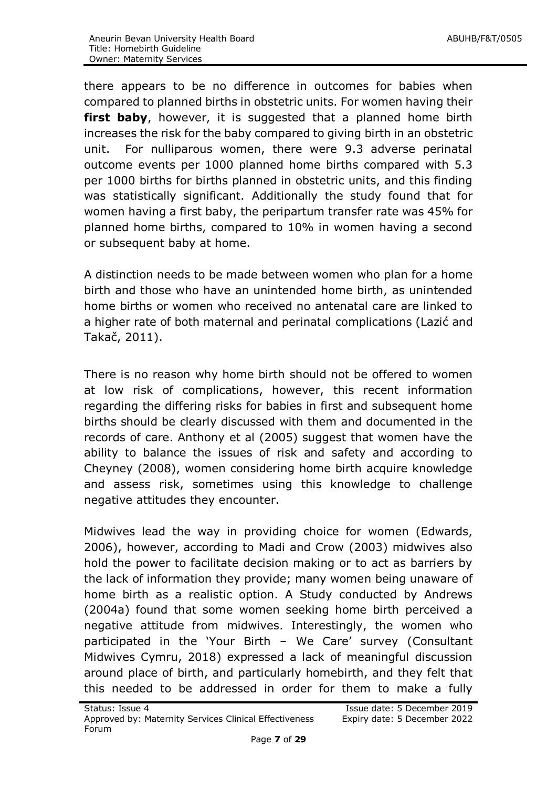there appears to be no difference in outcomes for babies when compared to planned births in obstetric units. For women having their first baby, however, it is suggested that a planned home birth increases the risk for the baby compared to giving birth in an obstetric unit. For nulliparous women, there were 9.3 adverse perinatal outcome events per 1000 planned home births compared with 5.3 per 1000 births for births planned in obstetric units, and this finding was statistically significant. Additionally the study found that for women having a first baby, the peripartum transfer rate was 45% for planned home births, compared to 10% in women having a second or subsequent baby at home.

A distinction needs to be made between women who plan for a home birth and those who have an unintended home birth, as unintended home births or women who received no antenatal care are linked to a higher rate of both maternal and perinatal complications (Lazić and Takač, 2011).

There is no reason why home birth should not be offered to women at low risk of complications, however, this recent information regarding the differing risks for babies in first and subsequent home births should be clearly discussed with them and documented in the records of care. Anthony et al (2005) suggest that women have the ability to balance the issues of risk and safety and according to Cheyney (2008), women considering home birth acquire knowledge and assess risk, sometimes using this knowledge to challenge negative attitudes they encounter.

Midwives lead the way in providing choice for women (Edwards, 2006), however, according to Madi and Crow (2003) midwives also hold the power to facilitate decision making or to act as barriers by the lack of information they provide; many women being unaware of home birth as a realistic option. A Study conducted by Andrews (2004a) found that some women seeking home birth perceived a negative attitude from midwives. Interestingly, the women who participated in the 'Your Birth – We Care' survey (Consultant Midwives Cymru, 2018) expressed a lack of meaningful discussion around place of birth, and particularly homebirth, and they felt that this needed to be addressed in order for them to make a fully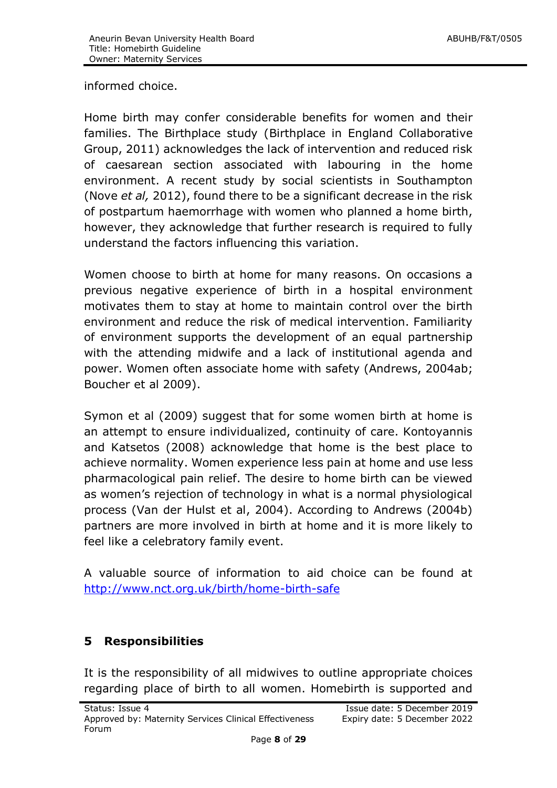informed choice.

Home birth may confer considerable benefits for women and their families. The Birthplace study (Birthplace in England Collaborative Group, 2011) acknowledges the lack of intervention and reduced risk of caesarean section associated with labouring in the home environment. A recent study by social scientists in Southampton (Nove *et al,* 2012), found there to be a significant decrease in the risk of postpartum haemorrhage with women who planned a home birth, however, they acknowledge that further research is required to fully understand the factors influencing this variation.

Women choose to birth at home for many reasons. On occasions a previous negative experience of birth in a hospital environment motivates them to stay at home to maintain control over the birth environment and reduce the risk of medical intervention. Familiarity of environment supports the development of an equal partnership with the attending midwife and a lack of institutional agenda and power. Women often associate home with safety (Andrews, 2004ab; Boucher et al 2009).

Symon et al (2009) suggest that for some women birth at home is an attempt to ensure individualized, continuity of care. Kontoyannis and Katsetos (2008) acknowledge that home is the best place to achieve normality. Women experience less pain at home and use less pharmacological pain relief. The desire to home birth can be viewed as women's rejection of technology in what is a normal physiological process (Van der Hulst et al, 2004). According to Andrews (2004b) partners are more involved in birth at home and it is more likely to feel like a celebratory family event.

A valuable source of information to aid choice can be found at <http://www.nct.org.uk/birth/home-birth-safe>

# <span id="page-7-0"></span>**5 Responsibilities**

It is the responsibility of all midwives to outline appropriate choices regarding place of birth to all women. Homebirth is supported and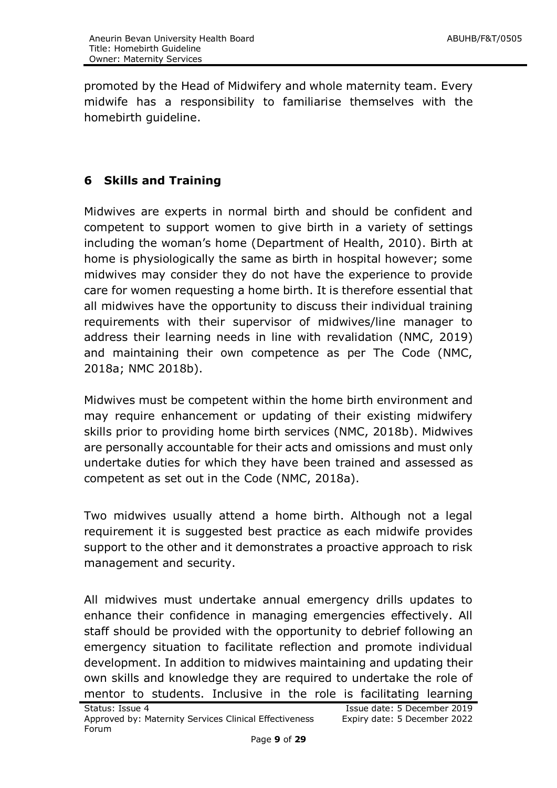promoted by the Head of Midwifery and whole maternity team. Every midwife has a responsibility to familiarise themselves with the homebirth guideline.

# <span id="page-8-0"></span>**6 Skills and Training**

Midwives are experts in normal birth and should be confident and competent to support women to give birth in a variety of settings including the woman's home (Department of Health, 2010). Birth at home is physiologically the same as birth in hospital however; some midwives may consider they do not have the experience to provide care for women requesting a home birth. It is therefore essential that all midwives have the opportunity to discuss their individual training requirements with their supervisor of midwives/line manager to address their learning needs in line with revalidation (NMC, 2019) and maintaining their own competence as per The Code (NMC, 2018a; NMC 2018b).

Midwives must be competent within the home birth environment and may require enhancement or updating of their existing midwifery skills prior to providing home birth services (NMC, 2018b). Midwives are personally accountable for their acts and omissions and must only undertake duties for which they have been trained and assessed as competent as set out in the Code (NMC, 2018a).

Two midwives usually attend a home birth. Although not a legal requirement it is suggested best practice as each midwife provides support to the other and it demonstrates a proactive approach to risk management and security.

All midwives must undertake annual emergency drills updates to enhance their confidence in managing emergencies effectively. All staff should be provided with the opportunity to debrief following an emergency situation to facilitate reflection and promote individual development. In addition to midwives maintaining and updating their own skills and knowledge they are required to undertake the role of mentor to students. Inclusive in the role is facilitating learning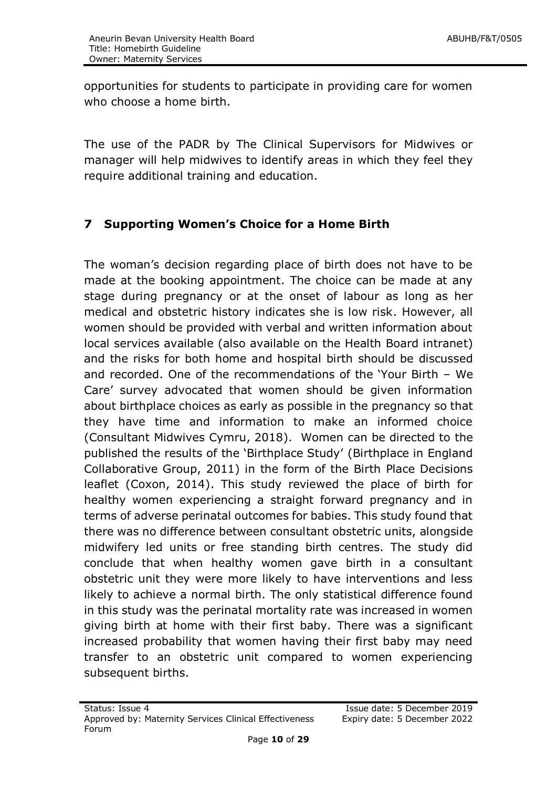opportunities for students to participate in providing care for women who choose a home birth.

The use of the PADR by The Clinical Supervisors for Midwives or manager will help midwives to identify areas in which they feel they require additional training and education.

# <span id="page-9-0"></span>**7 Supporting Women's Choice for a Home Birth**

The woman's decision regarding place of birth does not have to be made at the booking appointment. The choice can be made at any stage during pregnancy or at the onset of labour as long as her medical and obstetric history indicates she is low risk. However, all women should be provided with verbal and written information about local services available (also available on the Health Board intranet) and the risks for both home and hospital birth should be discussed and recorded. One of the recommendations of the 'Your Birth – We Care' survey advocated that women should be given information about birthplace choices as early as possible in the pregnancy so that they have time and information to make an informed choice (Consultant Midwives Cymru, 2018). Women can be directed to the published the results of the 'Birthplace Study' (Birthplace in England Collaborative Group, 2011) in the form of the Birth Place Decisions leaflet (Coxon, 2014). This study reviewed the place of birth for healthy women experiencing a straight forward pregnancy and in terms of adverse perinatal outcomes for babies. This study found that there was no difference between consultant obstetric units, alongside midwifery led units or free standing birth centres. The study did conclude that when healthy women gave birth in a consultant obstetric unit they were more likely to have interventions and less likely to achieve a normal birth. The only statistical difference found in this study was the perinatal mortality rate was increased in women giving birth at home with their first baby. There was a significant increased probability that women having their first baby may need transfer to an obstetric unit compared to women experiencing subsequent births.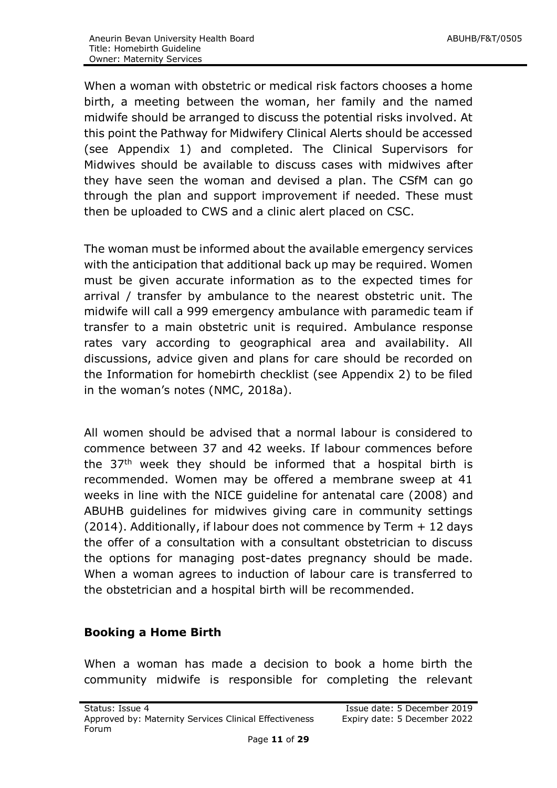When a woman with obstetric or medical risk factors chooses a home birth, a meeting between the woman, her family and the named midwife should be arranged to discuss the potential risks involved. At this point the Pathway for Midwifery Clinical Alerts should be accessed (see Appendix 1) and completed. The Clinical Supervisors for Midwives should be available to discuss cases with midwives after they have seen the woman and devised a plan. The CSfM can go through the plan and support improvement if needed. These must then be uploaded to CWS and a clinic alert placed on CSC.

The woman must be informed about the available emergency services with the anticipation that additional back up may be required. Women must be given accurate information as to the expected times for arrival / transfer by ambulance to the nearest obstetric unit. The midwife will call a 999 emergency ambulance with paramedic team if transfer to a main obstetric unit is required. Ambulance response rates vary according to geographical area and availability. All discussions, advice given and plans for care should be recorded on the Information for homebirth checklist (see Appendix 2) to be filed in the woman's notes (NMC, 2018a).

All women should be advised that a normal labour is considered to commence between 37 and 42 weeks. If labour commences before the  $37<sup>th</sup>$  week they should be informed that a hospital birth is recommended. Women may be offered a membrane sweep at 41 weeks in line with the NICE guideline for antenatal care (2008) and ABUHB guidelines for midwives giving care in community settings (2014). Additionally, if labour does not commence by Term + 12 days the offer of a consultation with a consultant obstetrician to discuss the options for managing post-dates pregnancy should be made. When a woman agrees to induction of labour care is transferred to the obstetrician and a hospital birth will be recommended.

#### **Booking a Home Birth**

When a woman has made a decision to book a home birth the community midwife is responsible for completing the relevant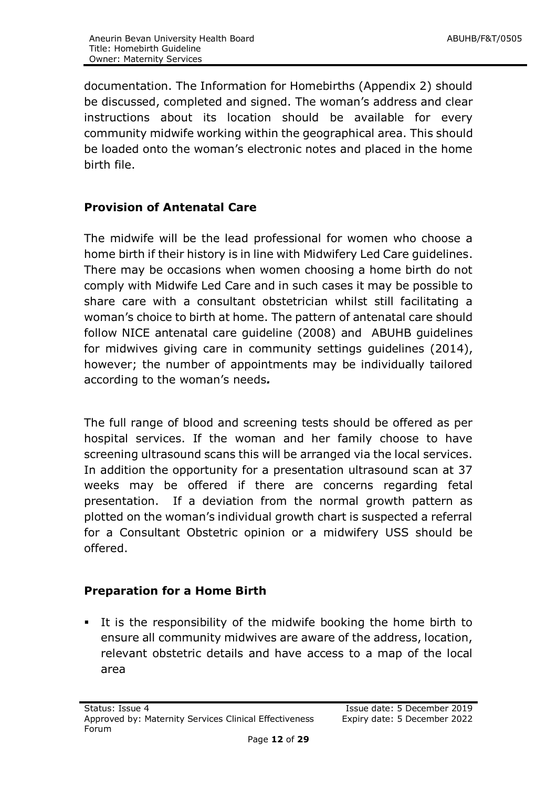documentation. The Information for Homebirths (Appendix 2) should be discussed, completed and signed. The woman's address and clear instructions about its location should be available for every community midwife working within the geographical area. This should be loaded onto the woman's electronic notes and placed in the home birth file.

# **Provision of Antenatal Care**

The midwife will be the lead professional for women who choose a home birth if their history is in line with Midwifery Led Care guidelines. There may be occasions when women choosing a home birth do not comply with Midwife Led Care and in such cases it may be possible to share care with a consultant obstetrician whilst still facilitating a woman's choice to birth at home. The pattern of antenatal care should follow NICE antenatal care guideline (2008) and ABUHB guidelines for midwives giving care in community settings guidelines (2014), however; the number of appointments may be individually tailored according to the woman's needs*.* 

The full range of blood and screening tests should be offered as per hospital services. If the woman and her family choose to have screening ultrasound scans this will be arranged via the local services. In addition the opportunity for a presentation ultrasound scan at 37 weeks may be offered if there are concerns regarding fetal presentation. If a deviation from the normal growth pattern as plotted on the woman's individual growth chart is suspected a referral for a Consultant Obstetric opinion or a midwifery USS should be offered.

# **Preparation for a Home Birth**

 It is the responsibility of the midwife booking the home birth to ensure all community midwives are aware of the address, location, relevant obstetric details and have access to a map of the local area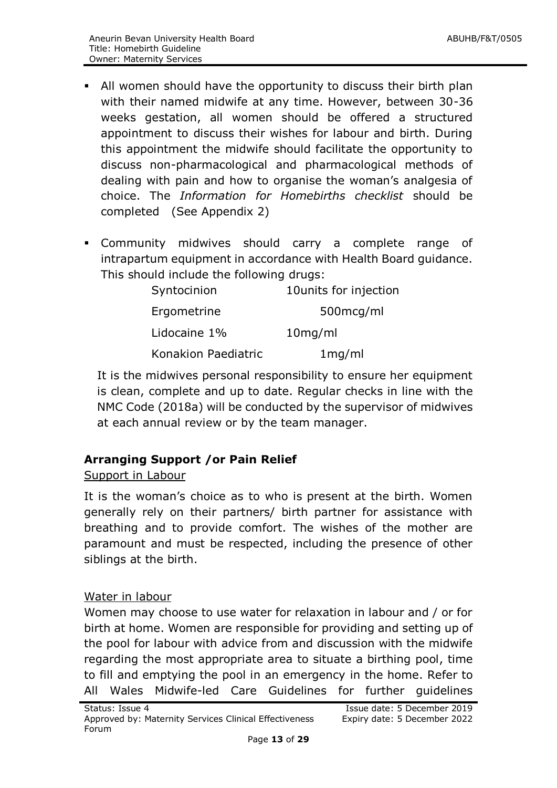- All women should have the opportunity to discuss their birth plan with their named midwife at any time. However, between 30-36 weeks gestation, all women should be offered a structured appointment to discuss their wishes for labour and birth. During this appointment the midwife should facilitate the opportunity to discuss non-pharmacological and pharmacological methods of dealing with pain and how to organise the woman's analgesia of choice. The *Information for Homebirths checklist* should be completed (See Appendix 2)
- Community midwives should carry a complete range of intrapartum equipment in accordance with Health Board guidance. This should include the following drugs:

| Syntocinion         | 10 units for injection |
|---------------------|------------------------|
| Ergometrine         | 500 mcg/ml             |
| Lidocaine 1%        | $10$ mg/ml             |
| Konakion Paediatric | 1mg/ml                 |

It is the midwives personal responsibility to ensure her equipment is clean, complete and up to date. Regular checks in line with the NMC Code (2018a) will be conducted by the supervisor of midwives at each annual review or by the team manager.

# **Arranging Support /or Pain Relief**

#### Support in Labour

It is the woman's choice as to who is present at the birth. Women generally rely on their partners/ birth partner for assistance with breathing and to provide comfort. The wishes of the mother are paramount and must be respected, including the presence of other siblings at the birth.

#### Water in labour

Women may choose to use water for relaxation in labour and / or for birth at home. Women are responsible for providing and setting up of the pool for labour with advice from and discussion with the midwife regarding the most appropriate area to situate a birthing pool, time to fill and emptying the pool in an emergency in the home. Refer to All Wales Midwife-led Care Guidelines for further guidelines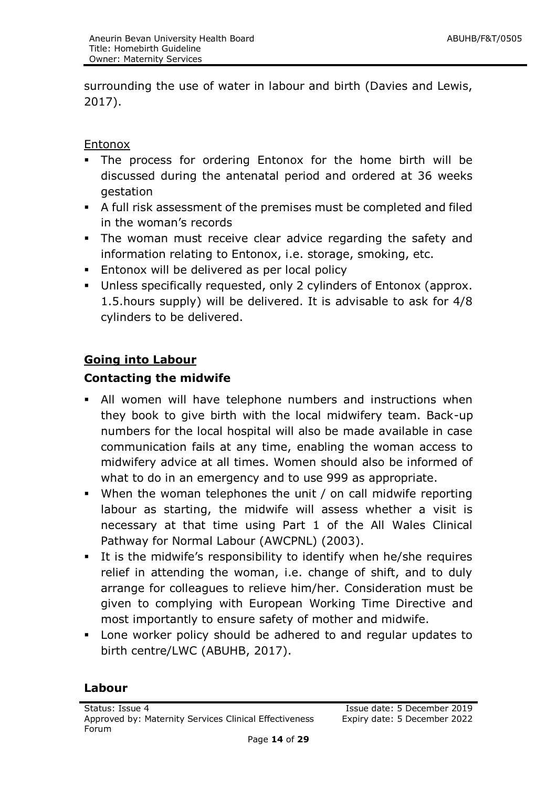surrounding the use of water in labour and birth (Davies and Lewis, 2017).

**Entonox** 

- The process for ordering Entonox for the home birth will be discussed during the antenatal period and ordered at 36 weeks gestation
- A full risk assessment of the premises must be completed and filed in the woman's records
- The woman must receive clear advice regarding the safety and information relating to Entonox, i.e. storage, smoking, etc.
- **Entonox will be delivered as per local policy**
- Unless specifically requested, only 2 cylinders of Entonox (approx. 1.5.hours supply) will be delivered. It is advisable to ask for 4/8 cylinders to be delivered.

# **Going into Labour**

#### **Contacting the midwife**

- All women will have telephone numbers and instructions when they book to give birth with the local midwifery team. Back-up numbers for the local hospital will also be made available in case communication fails at any time, enabling the woman access to midwifery advice at all times. Women should also be informed of what to do in an emergency and to use 999 as appropriate.
- When the woman telephones the unit / on call midwife reporting labour as starting, the midwife will assess whether a visit is necessary at that time using Part 1 of the All Wales Clinical Pathway for Normal Labour (AWCPNL) (2003).
- It is the midwife's responsibility to identify when he/she requires relief in attending the woman, i.e. change of shift, and to duly arrange for colleagues to relieve him/her. Consideration must be given to complying with European Working Time Directive and most importantly to ensure safety of mother and midwife.
- Lone worker policy should be adhered to and regular updates to birth centre/LWC (ABUHB, 2017).

#### **Labour**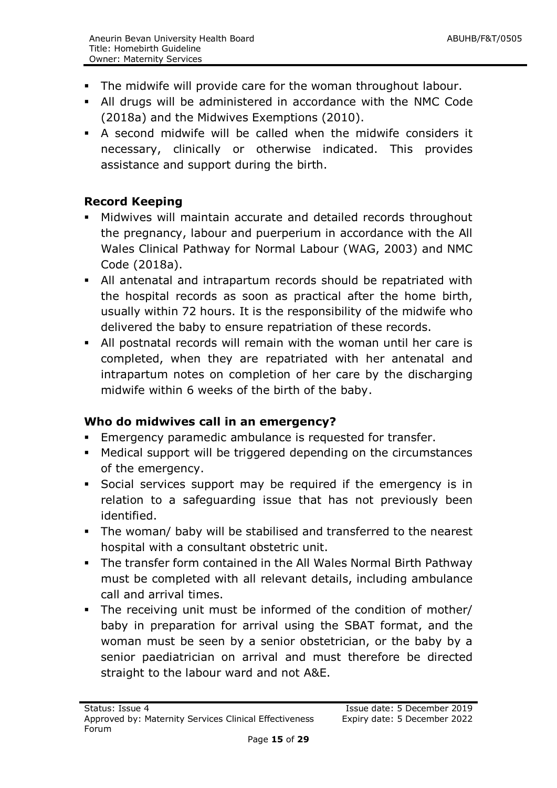- The midwife will provide care for the woman throughout labour.
- All drugs will be administered in accordance with the NMC Code (2018a) and the Midwives Exemptions (2010).
- A second midwife will be called when the midwife considers it necessary, clinically or otherwise indicated. This provides assistance and support during the birth.

# **Record Keeping**

- Midwives will maintain accurate and detailed records throughout the pregnancy, labour and puerperium in accordance with the All Wales Clinical Pathway for Normal Labour (WAG, 2003) and NMC Code (2018a).
- All antenatal and intrapartum records should be repatriated with the hospital records as soon as practical after the home birth, usually within 72 hours. It is the responsibility of the midwife who delivered the baby to ensure repatriation of these records.
- All postnatal records will remain with the woman until her care is completed, when they are repatriated with her antenatal and intrapartum notes on completion of her care by the discharging midwife within 6 weeks of the birth of the baby.

# **Who do midwives call in an emergency?**

- **Emergency paramedic ambulance is requested for transfer.**
- Medical support will be triggered depending on the circumstances of the emergency.
- Social services support may be required if the emergency is in relation to a safeguarding issue that has not previously been identified.
- The woman/ baby will be stabilised and transferred to the nearest hospital with a consultant obstetric unit.
- The transfer form contained in the All Wales Normal Birth Pathway must be completed with all relevant details, including ambulance call and arrival times.
- The receiving unit must be informed of the condition of mother/ baby in preparation for arrival using the SBAT format, and the woman must be seen by a senior obstetrician, or the baby by a senior paediatrician on arrival and must therefore be directed straight to the labour ward and not A&E.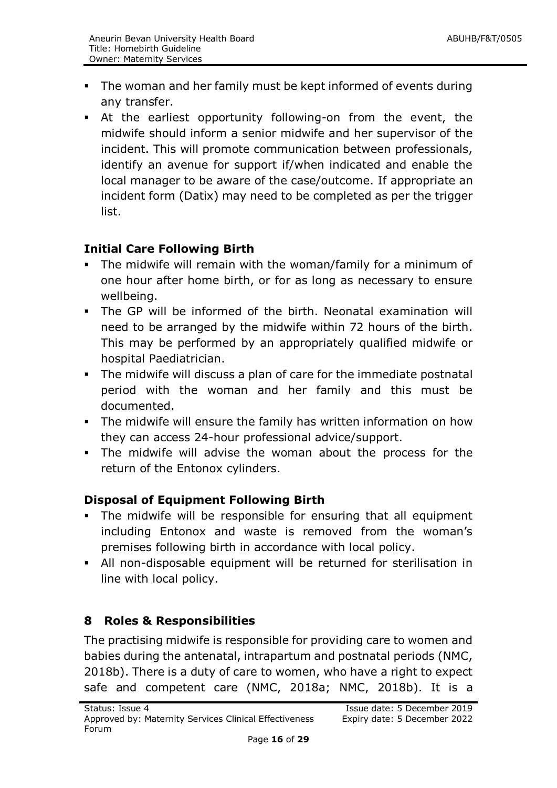- The woman and her family must be kept informed of events during any transfer.
- At the earliest opportunity following-on from the event, the midwife should inform a senior midwife and her supervisor of the incident. This will promote communication between professionals, identify an avenue for support if/when indicated and enable the local manager to be aware of the case/outcome. If appropriate an incident form (Datix) may need to be completed as per the trigger list.

# **Initial Care Following Birth**

- The midwife will remain with the woman/family for a minimum of one hour after home birth, or for as long as necessary to ensure wellbeing.
- The GP will be informed of the birth. Neonatal examination will need to be arranged by the midwife within 72 hours of the birth. This may be performed by an appropriately qualified midwife or hospital Paediatrician.
- The midwife will discuss a plan of care for the immediate postnatal period with the woman and her family and this must be documented.
- The midwife will ensure the family has written information on how they can access 24-hour professional advice/support.
- The midwife will advise the woman about the process for the return of the Entonox cylinders.

# **Disposal of Equipment Following Birth**

- The midwife will be responsible for ensuring that all equipment including Entonox and waste is removed from the woman's premises following birth in accordance with local policy.
- All non-disposable equipment will be returned for sterilisation in line with local policy.

# <span id="page-15-0"></span>**8 Roles & Responsibilities**

The practising midwife is responsible for providing care to women and babies during the antenatal, intrapartum and postnatal periods (NMC, 2018b). There is a duty of care to women, who have a right to expect safe and competent care (NMC, 2018a; NMC, 2018b). It is a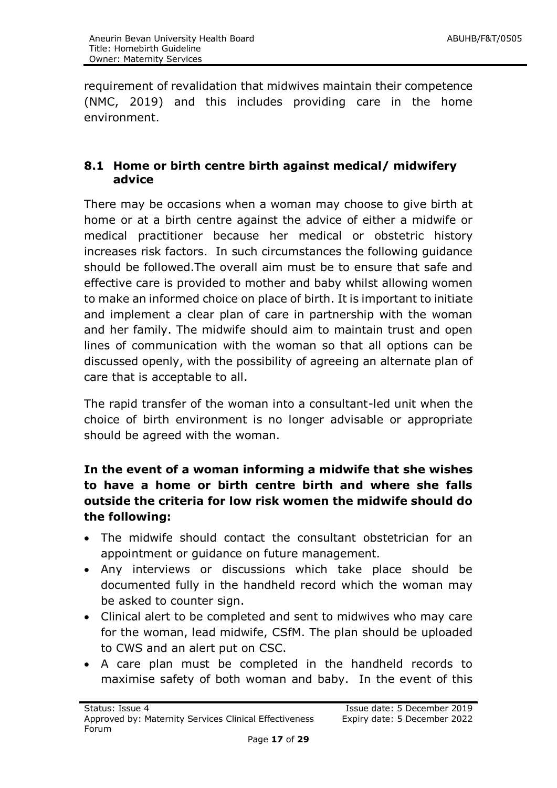requirement of revalidation that midwives maintain their competence (NMC, 2019) and this includes providing care in the home environment.

# <span id="page-16-0"></span>**8.1 Home or birth centre birth against medical/ midwifery advice**

There may be occasions when a woman may choose to give birth at home or at a birth centre against the advice of either a midwife or medical practitioner because her medical or obstetric history increases risk factors. In such circumstances the following guidance should be followed.The overall aim must be to ensure that safe and effective care is provided to mother and baby whilst allowing women to make an informed choice on place of birth. It is important to initiate and implement a clear plan of care in partnership with the woman and her family. The midwife should aim to maintain trust and open lines of communication with the woman so that all options can be discussed openly, with the possibility of agreeing an alternate plan of care that is acceptable to all.

The rapid transfer of the woman into a consultant-led unit when the choice of birth environment is no longer advisable or appropriate should be agreed with the woman.

# **In the event of a woman informing a midwife that she wishes to have a home or birth centre birth and where she falls outside the criteria for low risk women the midwife should do the following:**

- The midwife should contact the consultant obstetrician for an appointment or guidance on future management.
- Any interviews or discussions which take place should be documented fully in the handheld record which the woman may be asked to counter sign.
- Clinical alert to be completed and sent to midwives who may care for the woman, lead midwife, CSfM. The plan should be uploaded to CWS and an alert put on CSC.
- A care plan must be completed in the handheld records to maximise safety of both woman and baby. In the event of this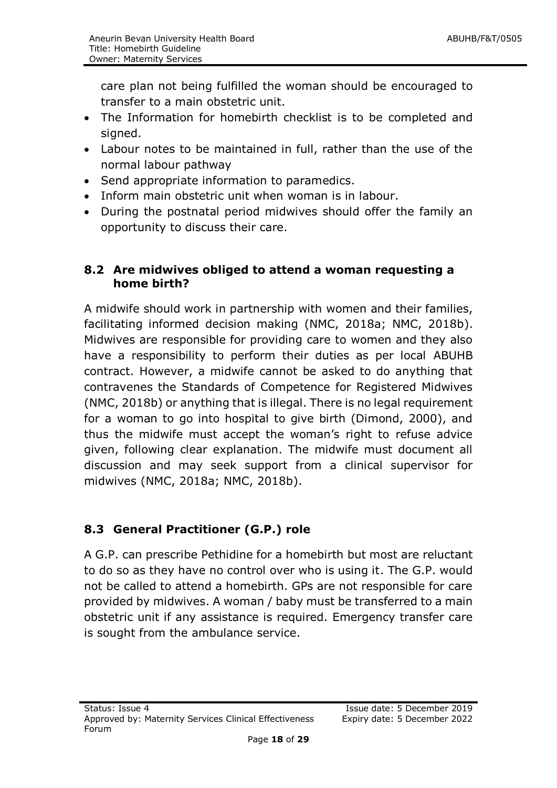care plan not being fulfilled the woman should be encouraged to transfer to a main obstetric unit.

- The Information for homebirth checklist is to be completed and signed.
- Labour notes to be maintained in full, rather than the use of the normal labour pathway
- Send appropriate information to paramedics.
- Inform main obstetric unit when woman is in labour.
- During the postnatal period midwives should offer the family an opportunity to discuss their care.

# <span id="page-17-0"></span>**8.2 Are midwives obliged to attend a woman requesting a home birth?**

A midwife should work in partnership with women and their families, facilitating informed decision making (NMC, 2018a; NMC, 2018b). Midwives are responsible for providing care to women and they also have a responsibility to perform their duties as per local ABUHB contract. However, a midwife cannot be asked to do anything that contravenes the Standards of Competence for Registered Midwives (NMC, 2018b) or anything that is illegal. There is no legal requirement for a woman to go into hospital to give birth (Dimond, 2000), and thus the midwife must accept the woman's right to refuse advice given, following clear explanation. The midwife must document all discussion and may seek support from a clinical supervisor for midwives (NMC, 2018a; NMC, 2018b).

# <span id="page-17-1"></span>**8.3 General Practitioner (G.P.) role**

A G.P. can prescribe Pethidine for a homebirth but most are reluctant to do so as they have no control over who is using it. The G.P. would not be called to attend a homebirth. GPs are not responsible for care provided by midwives. A woman / baby must be transferred to a main obstetric unit if any assistance is required. Emergency transfer care is sought from the ambulance service.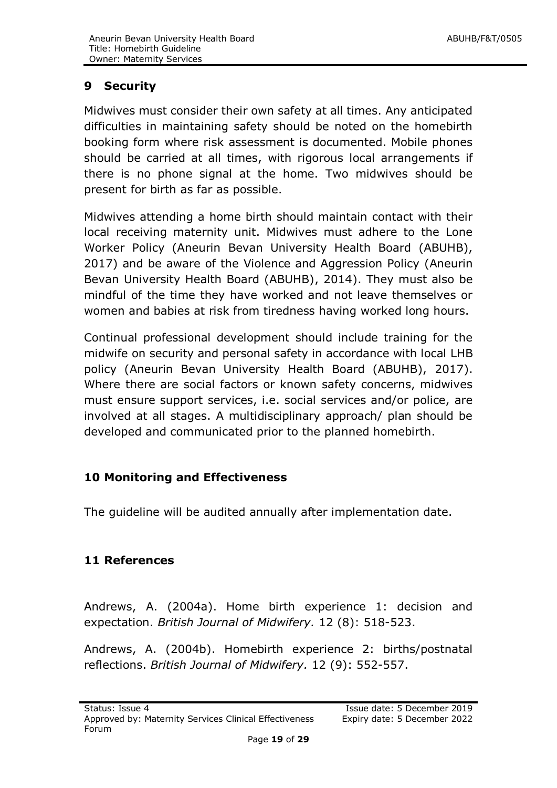# <span id="page-18-0"></span>**9 Security**

Midwives must consider their own safety at all times. Any anticipated difficulties in maintaining safety should be noted on the homebirth booking form where risk assessment is documented. Mobile phones should be carried at all times, with rigorous local arrangements if there is no phone signal at the home. Two midwives should be present for birth as far as possible.

Midwives attending a home birth should maintain contact with their local receiving maternity unit. Midwives must adhere to the Lone Worker Policy (Aneurin Bevan University Health Board (ABUHB), 2017) and be aware of the Violence and Aggression Policy (Aneurin Bevan University Health Board (ABUHB), 2014). They must also be mindful of the time they have worked and not leave themselves or women and babies at risk from tiredness having worked long hours.

Continual professional development should include training for the midwife on security and personal safety in accordance with local LHB policy (Aneurin Bevan University Health Board (ABUHB), 2017). Where there are social factors or known safety concerns, midwives must ensure support services, i.e. social services and/or police, are involved at all stages. A multidisciplinary approach/ plan should be developed and communicated prior to the planned homebirth.

# <span id="page-18-1"></span>**10 Monitoring and Effectiveness**

The guideline will be audited annually after implementation date.

# <span id="page-18-2"></span>**11 References**

Andrews, A. (2004a). Home birth experience 1: decision and expectation. *British Journal of Midwifery.* 12 (8): 518-523.

Andrews, A. (2004b). Homebirth experience 2: births/postnatal reflections. *British Journal of Midwifery.* 12 (9): 552-557.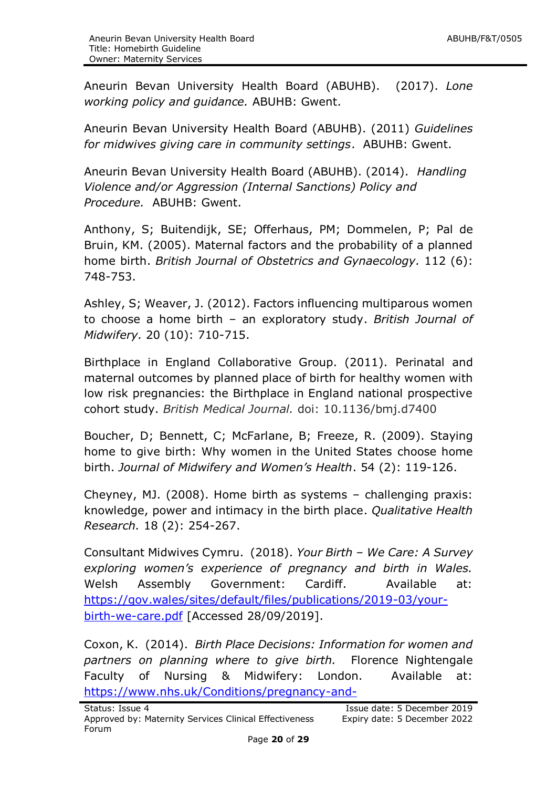Aneurin Bevan University Health Board (ABUHB). (2017). *Lone working policy and guidance.* ABUHB: Gwent.

Aneurin Bevan University Health Board (ABUHB). (2011) *Guidelines for midwives giving care in community settings*. ABUHB: Gwent.

Aneurin Bevan University Health Board (ABUHB). (2014). *Handling Violence and/or Aggression (Internal Sanctions) Policy and Procedure.* ABUHB: Gwent.

Anthony, S; Buitendijk, SE; Offerhaus, PM; Dommelen, P; Pal de Bruin, KM. (2005). Maternal factors and the probability of a planned home birth. *British Journal of Obstetrics and Gynaecology.* 112 (6): 748-753.

Ashley, S; Weaver, J. (2012). Factors influencing multiparous women to choose a home birth – an exploratory study. *British Journal of Midwifery.* 20 (10): 710-715.

Birthplace in England Collaborative Group. (2011). Perinatal and maternal outcomes by planned place of birth for healthy women with low risk pregnancies: the Birthplace in England national prospective cohort study. *British Medical Journal.* doi: 10.1136/bmj.d7400

Boucher, D; Bennett, C; McFarlane, B; Freeze, R. (2009). Staying home to give birth: Why women in the United States choose home birth. *Journal of Midwifery and Women's Health*. 54 (2): 119-126.

Cheyney, MJ. (2008). Home birth as systems – challenging praxis: knowledge, power and intimacy in the birth place. *Qualitative Health Research.* 18 (2): 254-267.

Consultant Midwives Cymru. (2018). *Your Birth – We Care: A Survey exploring women's experience of pregnancy and birth in Wales.*  Welsh Assembly Government: Cardiff. Available at: [https://gov.wales/sites/default/files/publications/2019-03/your](https://gov.wales/sites/default/files/publications/2019-03/your-birth-we-care.pdf)[birth-we-care.pdf](https://gov.wales/sites/default/files/publications/2019-03/your-birth-we-care.pdf) [Accessed 28/09/2019].

Coxon, K. (2014). *Birth Place Decisions: Information for women and partners on planning where to give birth.* Florence Nightengale Faculty of Nursing & Midwifery: London. Available at: [https://www.nhs.uk/Conditions/pregnancy-and-](https://www.nhs.uk/Conditions/pregnancy-and-baby/Documents/Birth_place_decision_support_Generic_2_.pdf)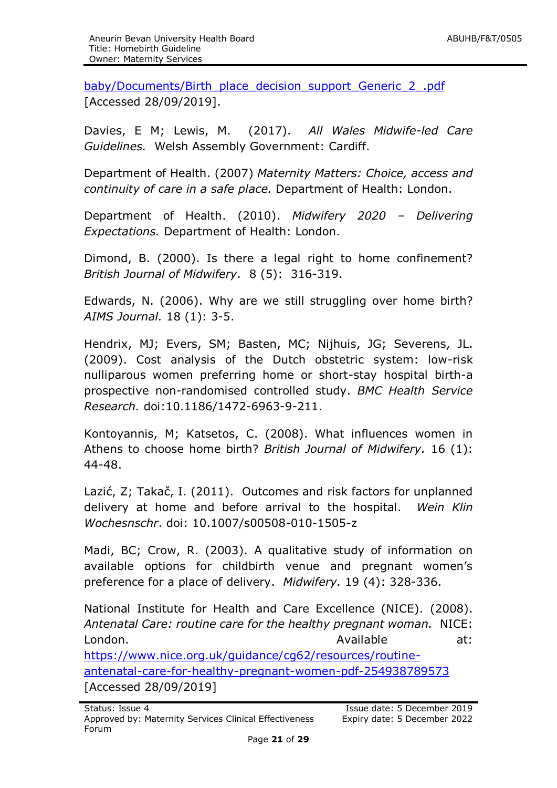[baby/Documents/Birth\\_place\\_decision\\_support\\_Generic\\_2\\_.pdf](https://www.nhs.uk/Conditions/pregnancy-and-baby/Documents/Birth_place_decision_support_Generic_2_.pdf) [Accessed 28/09/2019].

Davies, E M; Lewis, M. (2017). *All Wales Midwife-led Care Guidelines.* Welsh Assembly Government: Cardiff.

Department of Health. (2007) *Maternity Matters: Choice, access and continuity of care in a safe place.* Department of Health: London.

Department of Health. (2010). *Midwifery 2020 – Delivering Expectations.* Department of Health: London.

Dimond, B. (2000). Is there a legal right to home confinement? *British Journal of Midwifery.* 8 (5): 316-319.

Edwards, N. (2006). Why are we still struggling over home birth? *AIMS Journal.* 18 (1): 3-5.

Hendrix, MJ; Evers, SM; Basten, MC; Nijhuis, JG; Severens, JL. (2009). Cost analysis of the Dutch obstetric system: low-risk nulliparous women preferring home or short-stay hospital birth-a prospective non-randomised controlled study. *BMC Health Service Research.* doi:10.1186/1472-6963-9-211.

Kontoyannis, M; Katsetos, C. (2008). What influences women in Athens to choose home birth? *British Journal of Midwifery.* 16 (1): 44-48.

Lazić, Z; Takač, I. (2011). Outcomes and risk factors for unplanned delivery at home and before arrival to the hospital. *Wein Klin Wochesnschr*. doi: 10.1007/s00508-010-1505-z

Madi, BC; Crow, R. (2003). A qualitative study of information on available options for childbirth venue and pregnant women's preference for a place of delivery. *Midwifery.* 19 (4): 328-336.

National Institute for Health and Care Excellence (NICE). (2008). *Antenatal Care: routine care for the healthy pregnant woman.* NICE: London. Available at: [https://www.nice.org.uk/guidance/cg62/resources/routine](https://www.nice.org.uk/guidance/cg62/resources/routine-antenatal-care-for-healthy-pregnant-women-pdf-254938789573)[antenatal-care-for-healthy-pregnant-women-pdf-254938789573](https://www.nice.org.uk/guidance/cg62/resources/routine-antenatal-care-for-healthy-pregnant-women-pdf-254938789573) [Accessed 28/09/2019]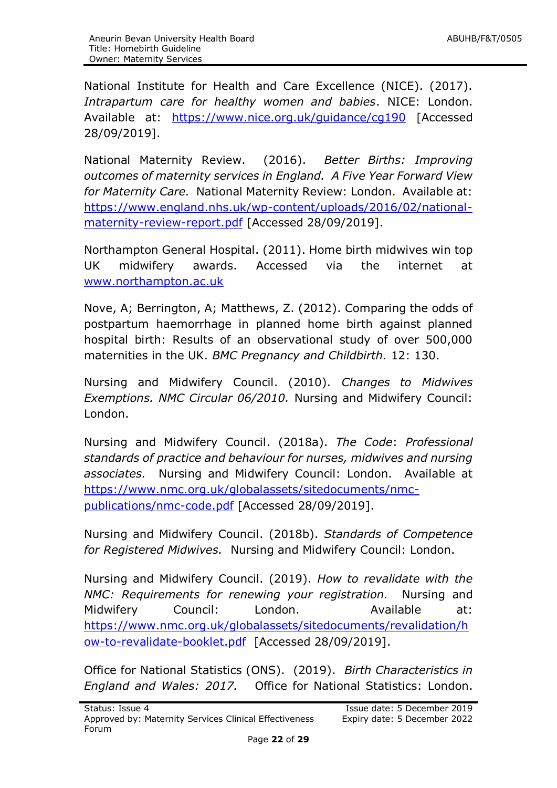National Institute for Health and Care Excellence (NICE). (2017). *Intrapartum care for healthy women and babies*. NICE: London. Available at: <https://www.nice.org.uk/guidance/cg190> [Accessed 28/09/2019].

National Maternity Review. (2016). *Better Births: Improving outcomes of maternity services in England. A Five Year Forward View for Maternity Care.* National Maternity Review: London. Available at: [https://www.england.nhs.uk/wp-content/uploads/2016/02/national](https://www.england.nhs.uk/wp-content/uploads/2016/02/national-maternity-review-report.pdf)[maternity-review-report.pdf](https://www.england.nhs.uk/wp-content/uploads/2016/02/national-maternity-review-report.pdf) [Accessed 28/09/2019].

Northampton General Hospital. (2011). Home birth midwives win top UK midwifery awards. Accessed via the internet at [www.northampton.ac.uk](http://www.northampton.ac.uk/)

Nove, A; Berrington, A; Matthews, Z. (2012). Comparing the odds of postpartum haemorrhage in planned home birth against planned hospital birth: Results of an observational study of over 500,000 maternities in the UK. *BMC Pregnancy and Childbirth.* 12: 130.

Nursing and Midwifery Council. (2010). *Changes to Midwives Exemptions. NMC Circular 06/2010.* Nursing and Midwifery Council: London.

Nursing and Midwifery Council. (2018a). *The Code*: *Professional standards of practice and behaviour for nurses, midwives and nursing associates.* Nursing and Midwifery Council: London. Available at [https://www.nmc.org.uk/globalassets/sitedocuments/nmc](https://www.nmc.org.uk/globalassets/sitedocuments/nmc-publications/nmc-code.pdf)[publications/nmc-code.pdf](https://www.nmc.org.uk/globalassets/sitedocuments/nmc-publications/nmc-code.pdf) [Accessed 28/09/2019].

Nursing and Midwifery Council. (2018b). *Standards of Competence for Registered Midwives.* Nursing and Midwifery Council: London.

Nursing and Midwifery Council. (2019). *How to revalidate with the NMC: Requirements for renewing your registration.* Nursing and Midwifery Council: London. Available at: [https://www.nmc.org.uk/globalassets/sitedocuments/revalidation/h](https://www.nmc.org.uk/globalassets/sitedocuments/revalidation/how-to-revalidate-booklet.pdf) [ow-to-revalidate-booklet.pdf](https://www.nmc.org.uk/globalassets/sitedocuments/revalidation/how-to-revalidate-booklet.pdf) [Accessed 28/09/2019].

Office for National Statistics (ONS). (2019). *Birth Characteristics in England and Wales: 2017.* Office for National Statistics: London.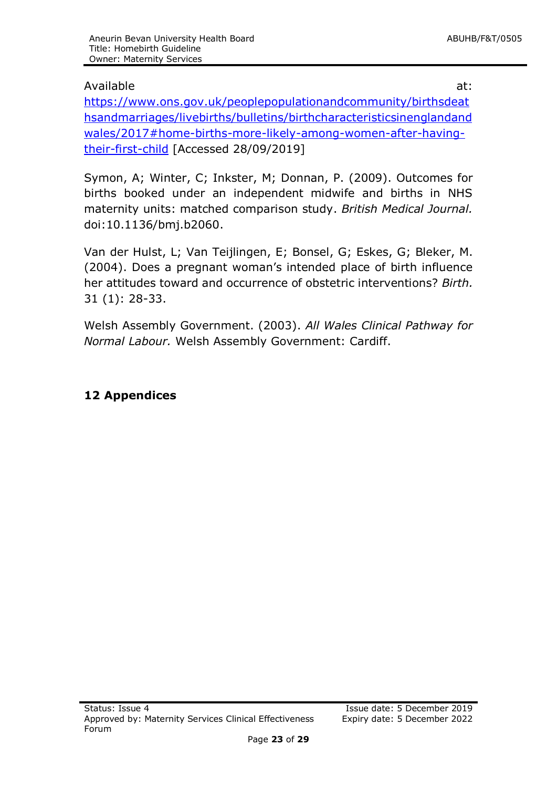#### Available at:

[https://www.ons.gov.uk/peoplepopulationandcommunity/birthsdeat](https://www.ons.gov.uk/peoplepopulationandcommunity/birthsdeathsandmarriages/livebirths/bulletins/birthcharacteristicsinenglandandwales/2017#home-births-more-likely-among-women-after-having-their-first-child) [hsandmarriages/livebirths/bulletins/birthcharacteristicsinenglandand](https://www.ons.gov.uk/peoplepopulationandcommunity/birthsdeathsandmarriages/livebirths/bulletins/birthcharacteristicsinenglandandwales/2017#home-births-more-likely-among-women-after-having-their-first-child) [wales/2017#home-births-more-likely-among-women-after-having](https://www.ons.gov.uk/peoplepopulationandcommunity/birthsdeathsandmarriages/livebirths/bulletins/birthcharacteristicsinenglandandwales/2017#home-births-more-likely-among-women-after-having-their-first-child)[their-first-child](https://www.ons.gov.uk/peoplepopulationandcommunity/birthsdeathsandmarriages/livebirths/bulletins/birthcharacteristicsinenglandandwales/2017#home-births-more-likely-among-women-after-having-their-first-child) [Accessed 28/09/2019]

Symon, A; Winter, C; Inkster, M; Donnan, P. (2009). Outcomes for births booked under an independent midwife and births in NHS maternity units: matched comparison study. *British Medical Journal.* doi:10.1136/bmj.b2060.

Van der Hulst, L; Van Teijlingen, E; Bonsel, G; Eskes, G; Bleker, M. (2004). Does a pregnant woman's intended place of birth influence her attitudes toward and occurrence of obstetric interventions? *Birth.* 31 (1): 28-33.

Welsh Assembly Government. (2003). *All Wales Clinical Pathway for Normal Labour.* Welsh Assembly Government: Cardiff.

#### <span id="page-22-0"></span>**12 Appendices**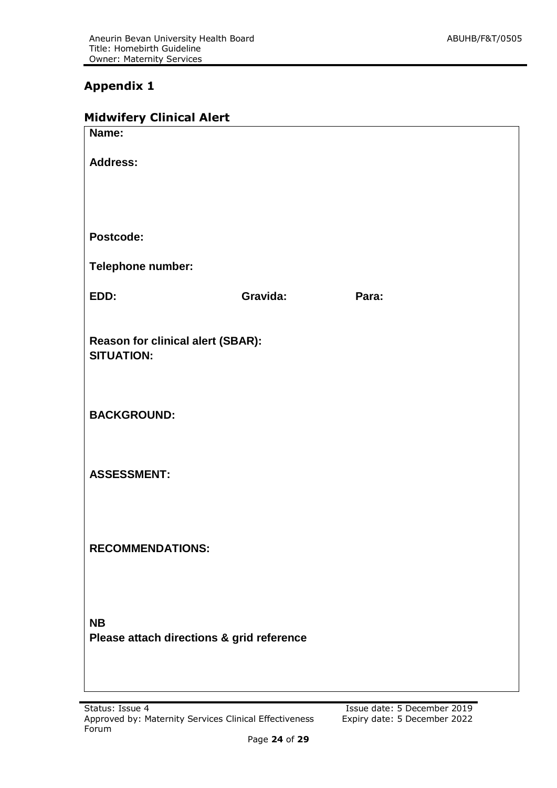# **Appendix 1**

| <b>Midwifery Clinical Alert</b> |  |
|---------------------------------|--|
|---------------------------------|--|

| Name:                                                         |          |       |  |
|---------------------------------------------------------------|----------|-------|--|
| <b>Address:</b>                                               |          |       |  |
|                                                               |          |       |  |
|                                                               |          |       |  |
| Postcode:                                                     |          |       |  |
| Telephone number:                                             |          |       |  |
| EDD:                                                          | Gravida: | Para: |  |
|                                                               |          |       |  |
| <b>Reason for clinical alert (SBAR):</b><br><b>SITUATION:</b> |          |       |  |
|                                                               |          |       |  |
| <b>BACKGROUND:</b>                                            |          |       |  |
|                                                               |          |       |  |
|                                                               |          |       |  |
| <b>ASSESSMENT:</b>                                            |          |       |  |
|                                                               |          |       |  |
| <b>RECOMMENDATIONS:</b>                                       |          |       |  |
|                                                               |          |       |  |
|                                                               |          |       |  |
| <b>NB</b>                                                     |          |       |  |
| Please attach directions & grid reference                     |          |       |  |
|                                                               |          |       |  |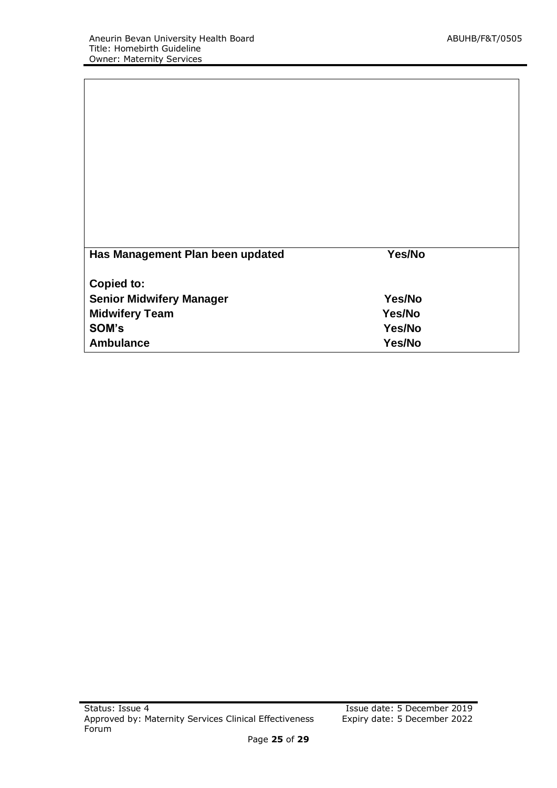| Has Management Plan been updated | Yes/No |  |
|----------------------------------|--------|--|
|                                  |        |  |
| Copied to:                       |        |  |
| <b>Senior Midwifery Manager</b>  | Yes/No |  |
| <b>Midwifery Team</b>            | Yes/No |  |
| SOM's                            | Yes/No |  |
| <b>Ambulance</b>                 | Yes/No |  |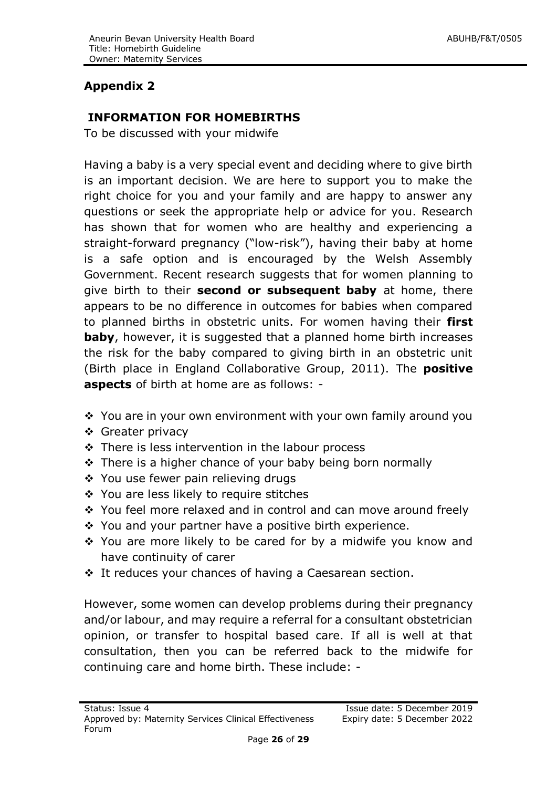# **Appendix 2**

#### **INFORMATION FOR HOMEBIRTHS**

To be discussed with your midwife

Having a baby is a very special event and deciding where to give birth is an important decision. We are here to support you to make the right choice for you and your family and are happy to answer any questions or seek the appropriate help or advice for you. Research has shown that for women who are healthy and experiencing a straight-forward pregnancy ("low-risk"), having their baby at home is a safe option and is encouraged by the Welsh Assembly Government. Recent research suggests that for women planning to give birth to their **second or subsequent baby** at home, there appears to be no difference in outcomes for babies when compared to planned births in obstetric units. For women having their **first baby**, however, it is suggested that a planned home birth increases the risk for the baby compared to giving birth in an obstetric unit (Birth place in England Collaborative Group, 2011). The **positive aspects** of birth at home are as follows: -

- \* You are in your own environment with your own family around you
- ❖ Greater privacy
- There is less intervention in the labour process
- $\div$  There is a higher chance of your baby being born normally
- ❖ You use fewer pain relieving drugs
- ❖ You are less likely to require stitches
- \* You feel more relaxed and in control and can move around freely
- $\div$  You and your partner have a positive birth experience.
- ◆ You are more likely to be cared for by a midwife you know and have continuity of carer
- It reduces your chances of having a Caesarean section.

However, some women can develop problems during their pregnancy and/or labour, and may require a referral for a consultant obstetrician opinion, or transfer to hospital based care. If all is well at that consultation, then you can be referred back to the midwife for continuing care and home birth. These include: -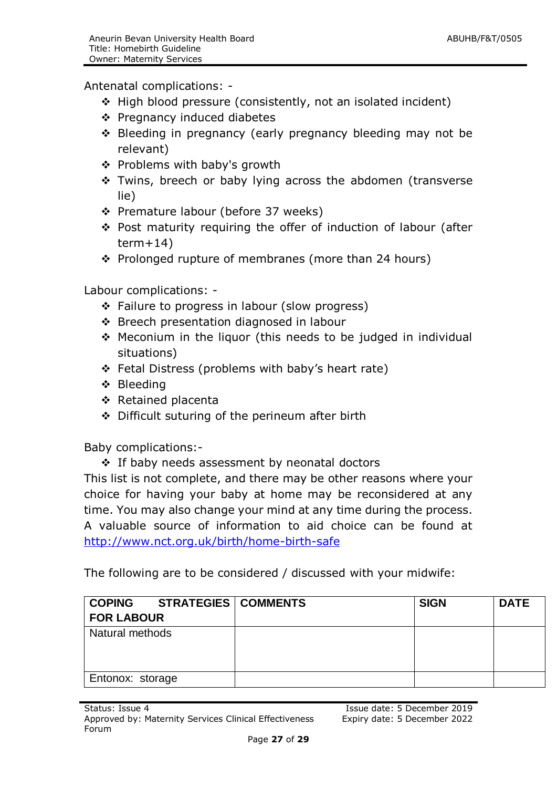Antenatal complications: -

- ◆ High blood pressure (consistently, not an isolated incident)
- Pregnancy induced diabetes
- ❖ Bleeding in pregnancy (early pregnancy bleeding may not be relevant)
- Problems with baby's growth
- \* Twins, breech or baby lying across the abdomen (transverse lie)
- ❖ Premature labour (before 37 weeks)
- Post maturity requiring the offer of induction of labour (after  $term+14)$
- $\div$  Prolonged rupture of membranes (more than 24 hours)

Labour complications: -

- ❖ Failure to progress in labour (slow progress)
- Breech presentation diagnosed in labour
- $\div$  Meconium in the liquor (this needs to be judged in individual situations)
- Fetal Distress (problems with baby's heart rate)
- ❖ Bleeding
- ❖ Retained placenta
- Difficult suturing of the perineum after birth

Baby complications:-

 $\div$  If baby needs assessment by neonatal doctors

This list is not complete, and there may be other reasons where your choice for having your baby at home may be reconsidered at any time. You may also change your mind at any time during the process. A valuable source of information to aid choice can be found at <http://www.nct.org.uk/birth/home-birth-safe>

The following are to be considered / discussed with your midwife:

| <b>COPING</b>     | <b>STRATEGIES   COMMENTS</b> | <b>SIGN</b> | <b>DATE</b> |
|-------------------|------------------------------|-------------|-------------|
| <b>FOR LABOUR</b> |                              |             |             |
| Natural methods   |                              |             |             |
|                   |                              |             |             |
|                   |                              |             |             |
| Entonox: storage  |                              |             |             |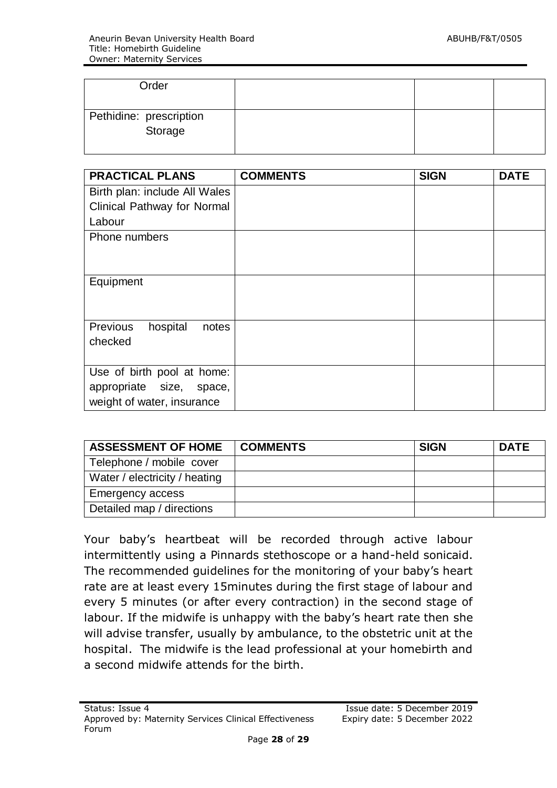| Order                              |  |  |
|------------------------------------|--|--|
| Pethidine: prescription<br>Storage |  |  |

| <b>PRACTICAL PLANS</b>             | <b>COMMENTS</b> | <b>SIGN</b> | <b>DATE</b> |
|------------------------------------|-----------------|-------------|-------------|
| Birth plan: include All Wales      |                 |             |             |
| <b>Clinical Pathway for Normal</b> |                 |             |             |
| Labour                             |                 |             |             |
| Phone numbers                      |                 |             |             |
|                                    |                 |             |             |
|                                    |                 |             |             |
| Equipment                          |                 |             |             |
|                                    |                 |             |             |
|                                    |                 |             |             |
| Previous<br>hospital<br>notes      |                 |             |             |
| checked                            |                 |             |             |
|                                    |                 |             |             |
| Use of birth pool at home:         |                 |             |             |
| appropriate size, space,           |                 |             |             |
| weight of water, insurance         |                 |             |             |

| <b>ASSESSMENT OF HOME</b>     | <b>COMMENTS</b> | <b>SIGN</b> | <b>DATE</b> |
|-------------------------------|-----------------|-------------|-------------|
| Telephone / mobile cover      |                 |             |             |
| Water / electricity / heating |                 |             |             |
| Emergency access              |                 |             |             |
| Detailed map / directions     |                 |             |             |

Your baby's heartbeat will be recorded through active labour intermittently using a Pinnards stethoscope or a hand-held sonicaid. The recommended guidelines for the monitoring of your baby's heart rate are at least every 15minutes during the first stage of labour and every 5 minutes (or after every contraction) in the second stage of labour. If the midwife is unhappy with the baby's heart rate then she will advise transfer, usually by ambulance, to the obstetric unit at the hospital. The midwife is the lead professional at your homebirth and a second midwife attends for the birth.